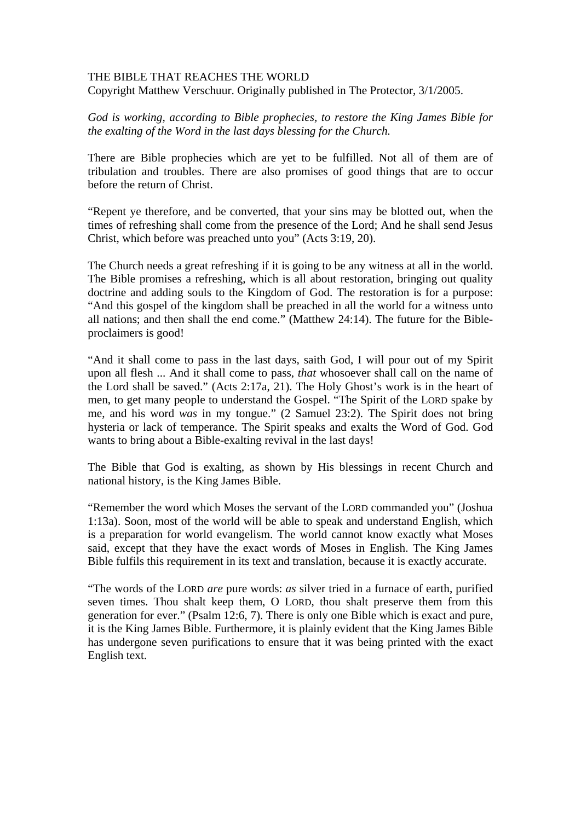## THE BIBLE THAT REACHES THE WORLD

Copyright Matthew Verschuur. Originally published in The Protector, 3/1/2005.

*God is working, according to Bible prophecies, to restore the King James Bible for the exalting of the Word in the last days blessing for the Church.* 

There are Bible prophecies which are yet to be fulfilled. Not all of them are of tribulation and troubles. There are also promises of good things that are to occur before the return of Christ.

"Repent ye therefore, and be converted, that your sins may be blotted out, when the times of refreshing shall come from the presence of the Lord; And he shall send Jesus Christ, which before was preached unto you" (Acts 3:19, 20).

The Church needs a great refreshing if it is going to be any witness at all in the world. The Bible promises a refreshing, which is all about restoration, bringing out quality doctrine and adding souls to the Kingdom of God. The restoration is for a purpose: "And this gospel of the kingdom shall be preached in all the world for a witness unto all nations; and then shall the end come." (Matthew 24:14). The future for the Bibleproclaimers is good!

"And it shall come to pass in the last days, saith God, I will pour out of my Spirit upon all flesh ... And it shall come to pass, *that* whosoever shall call on the name of the Lord shall be saved." (Acts 2:17a, 21). The Holy Ghost's work is in the heart of men, to get many people to understand the Gospel. "The Spirit of the LORD spake by me, and his word *was* in my tongue." (2 Samuel 23:2). The Spirit does not bring hysteria or lack of temperance. The Spirit speaks and exalts the Word of God. God wants to bring about a Bible-exalting revival in the last days!

The Bible that God is exalting, as shown by His blessings in recent Church and national history, is the King James Bible.

"Remember the word which Moses the servant of the LORD commanded you" (Joshua 1:13a). Soon, most of the world will be able to speak and understand English, which is a preparation for world evangelism. The world cannot know exactly what Moses said, except that they have the exact words of Moses in English. The King James Bible fulfils this requirement in its text and translation, because it is exactly accurate.

"The words of the LORD *are* pure words: *as* silver tried in a furnace of earth, purified seven times. Thou shalt keep them, O LORD, thou shalt preserve them from this generation for ever." (Psalm 12:6, 7). There is only one Bible which is exact and pure, it is the King James Bible. Furthermore, it is plainly evident that the King James Bible has undergone seven purifications to ensure that it was being printed with the exact English text.